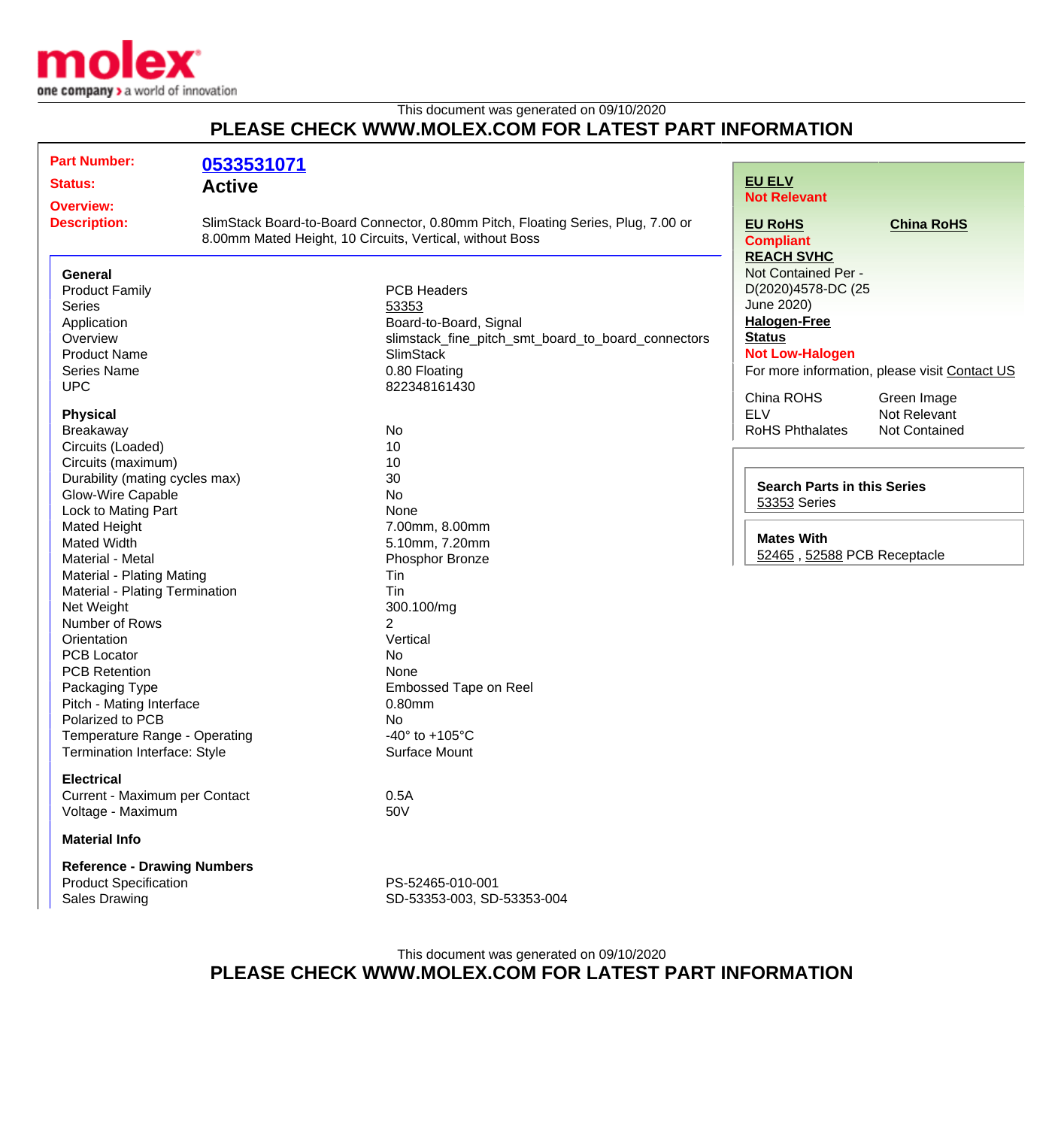

## This document was generated on 09/10/2020 **PLEASE CHECK WWW.MOLEX.COM FOR LATEST PART INFORMATION**

| <b>Part Number:</b>                     | 0533531071                                                                                                                                   |                                                    |                                                    |                                               |
|-----------------------------------------|----------------------------------------------------------------------------------------------------------------------------------------------|----------------------------------------------------|----------------------------------------------------|-----------------------------------------------|
| <b>Status:</b>                          | <b>Active</b>                                                                                                                                |                                                    |                                                    |                                               |
|                                         |                                                                                                                                              |                                                    | <b>EU ELV</b><br><b>Not Relevant</b>               |                                               |
| <b>Overview:</b><br><b>Description:</b> | SlimStack Board-to-Board Connector, 0.80mm Pitch, Floating Series, Plug, 7.00 or<br>8.00mm Mated Height, 10 Circuits, Vertical, without Boss |                                                    |                                                    |                                               |
|                                         |                                                                                                                                              |                                                    | <b>EU RoHS</b><br><b>Compliant</b>                 | <b>China RoHS</b>                             |
|                                         |                                                                                                                                              |                                                    | <b>REACH SVHC</b>                                  |                                               |
| General                                 |                                                                                                                                              |                                                    | Not Contained Per -                                |                                               |
| <b>Product Family</b>                   |                                                                                                                                              | <b>PCB Headers</b>                                 | D(2020)4578-DC (25                                 |                                               |
| <b>Series</b>                           |                                                                                                                                              | 53353                                              | June 2020)                                         |                                               |
| Application                             |                                                                                                                                              | Board-to-Board, Signal                             | <b>Halogen-Free</b>                                |                                               |
| Overview                                |                                                                                                                                              | slimstack_fine_pitch_smt_board_to_board_connectors | <b>Status</b>                                      |                                               |
| <b>Product Name</b>                     |                                                                                                                                              | <b>SlimStack</b>                                   | <b>Not Low-Halogen</b>                             |                                               |
| <b>Series Name</b>                      |                                                                                                                                              | 0.80 Floating                                      |                                                    | For more information, please visit Contact US |
| <b>UPC</b>                              |                                                                                                                                              | 822348161430                                       |                                                    |                                               |
|                                         |                                                                                                                                              |                                                    | China ROHS                                         | Green Image                                   |
| <b>Physical</b>                         |                                                                                                                                              |                                                    | <b>ELV</b>                                         | Not Relevant                                  |
| Breakaway                               |                                                                                                                                              | No                                                 | <b>RoHS Phthalates</b>                             | Not Contained                                 |
| Circuits (Loaded)                       |                                                                                                                                              | 10                                                 |                                                    |                                               |
| Circuits (maximum)                      |                                                                                                                                              | 10                                                 |                                                    |                                               |
| Durability (mating cycles max)          |                                                                                                                                              | 30                                                 | <b>Search Parts in this Series</b><br>53353 Series |                                               |
| Glow-Wire Capable                       |                                                                                                                                              | No                                                 |                                                    |                                               |
| Lock to Mating Part                     |                                                                                                                                              | None                                               |                                                    |                                               |
| <b>Mated Height</b>                     |                                                                                                                                              | 7.00mm, 8.00mm                                     |                                                    |                                               |
| Mated Width                             |                                                                                                                                              | 5.10mm, 7.20mm                                     | <b>Mates With</b><br>52465, 52588 PCB Receptacle   |                                               |
| Material - Metal                        |                                                                                                                                              | Phosphor Bronze                                    |                                                    |                                               |
| Material - Plating Mating               |                                                                                                                                              | Tin                                                |                                                    |                                               |
| Material - Plating Termination          |                                                                                                                                              | Tin                                                |                                                    |                                               |
| Net Weight                              |                                                                                                                                              | 300.100/mg                                         |                                                    |                                               |
| Number of Rows                          |                                                                                                                                              | $\overline{2}$                                     |                                                    |                                               |
| Orientation                             |                                                                                                                                              | Vertical                                           |                                                    |                                               |
| <b>PCB Locator</b>                      |                                                                                                                                              | No                                                 |                                                    |                                               |
| <b>PCB Retention</b>                    |                                                                                                                                              | None                                               |                                                    |                                               |
| Packaging Type                          |                                                                                                                                              | Embossed Tape on Reel                              |                                                    |                                               |
| Pitch - Mating Interface                |                                                                                                                                              | 0.80mm                                             |                                                    |                                               |
| Polarized to PCB                        |                                                                                                                                              | No.                                                |                                                    |                                               |
| Temperature Range - Operating           |                                                                                                                                              | -40 $\degree$ to +105 $\degree$ C                  |                                                    |                                               |
| Termination Interface: Style            |                                                                                                                                              | Surface Mount                                      |                                                    |                                               |
| <b>Electrical</b>                       |                                                                                                                                              |                                                    |                                                    |                                               |
| Current - Maximum per Contact           |                                                                                                                                              | 0.5A                                               |                                                    |                                               |
| Voltage - Maximum                       |                                                                                                                                              | 50V                                                |                                                    |                                               |
| <b>Material Info</b>                    |                                                                                                                                              |                                                    |                                                    |                                               |
| <b>Reference - Drawing Numbers</b>      |                                                                                                                                              |                                                    |                                                    |                                               |
| <b>Product Specification</b>            |                                                                                                                                              | PS-52465-010-001                                   |                                                    |                                               |

This document was generated on 09/10/2020 **PLEASE CHECK WWW.MOLEX.COM FOR LATEST PART INFORMATION**

Sales Drawing Sales Drawing SD-53353-003, SD-53353-004